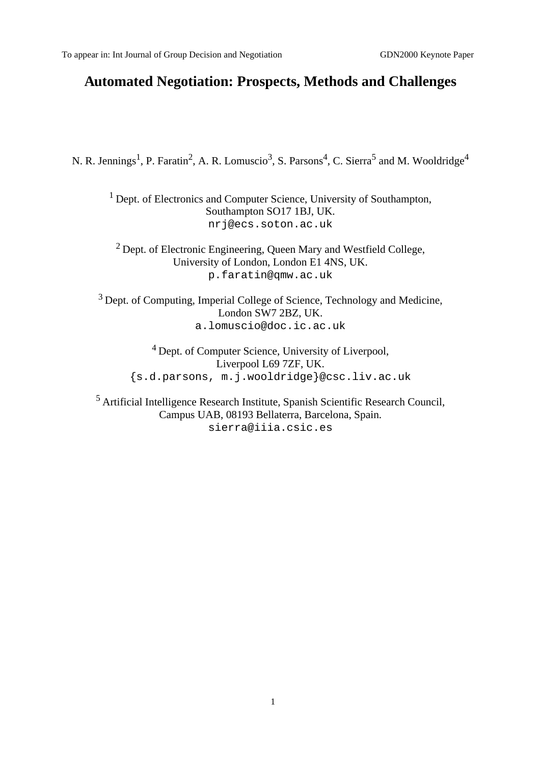# **Automated Negotiation: Prospects, Methods and Challenges**

N. R. Jennings<sup>1</sup>, P. Faratin<sup>2</sup>, A. R. Lomuscio<sup>3</sup>, S. Parsons<sup>4</sup>, C. Sierra<sup>5</sup> and M. Wooldridge<sup>4</sup>

<sup>1</sup> Dept. of Electronics and Computer Science, University of Southampton, Southampton SO17 1BJ, UK. nrj@ecs.soton.ac.uk

<sup>2</sup> Dept. of Electronic Engineering, Queen Mary and Westfield College, University of London, London E1 4NS, UK. p.faratin@qmw.ac.uk

<sup>3</sup> Dept. of Computing, Imperial College of Science, Technology and Medicine, London SW7 2BZ, UK. a.lomuscio@doc.ic.ac.uk

<sup>4</sup> Dept. of Computer Science, University of Liverpool, Liverpool L69 7ZF, UK. {s.d.parsons, m.j.wooldridge}@csc.liv.ac.uk

<sup>5</sup> Artificial Intelligence Research Institute, Spanish Scientific Research Council, Campus UAB, 08193 Bellaterra, Barcelona, Spain. sierra@iiia.csic.es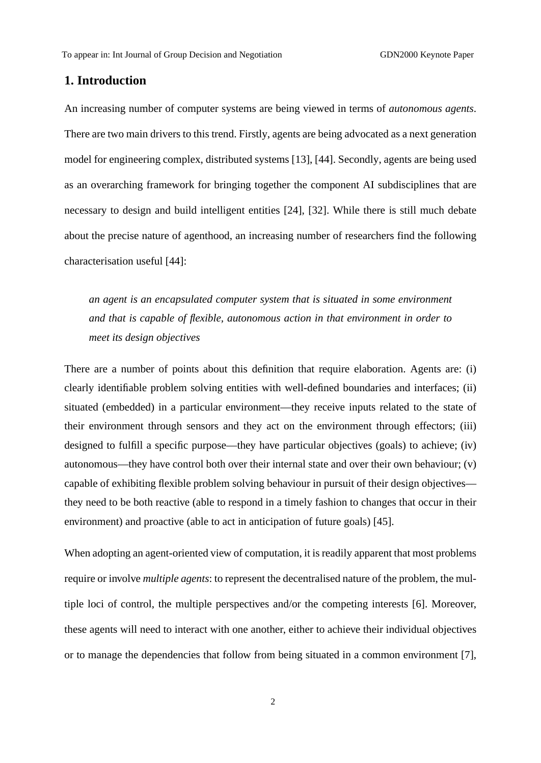#### **1. Introduction**

An increasing number of computer systems are being viewed in terms of *autonomous agents*. There are two main drivers to this trend. Firstly, agents are being advocated as a next generation model for engineering complex, distributed systems [13], [44]. Secondly, agents are being used as an overarching framework for bringing together the component AI subdisciplines that are necessary to design and build intelligent entities [24], [32]. While there is still much debate about the precise nature of agenthood, an increasing number of researchers find the following characterisation useful [44]:

*an agent is an encapsulated computer system that is situated in some environment and that is capable of flexible, autonomous action in that environment in order to meet its design objectives*

There are a number of points about this definition that require elaboration. Agents are: (i) clearly identifiable problem solving entities with well-defined boundaries and interfaces; (ii) situated (embedded) in a particular environment—they receive inputs related to the state of their environment through sensors and they act on the environment through effectors; (iii) designed to fulfill a specific purpose—they have particular objectives (goals) to achieve; (iv) autonomous—they have control both over their internal state and over their own behaviour; (v) capable of exhibiting flexible problem solving behaviour in pursuit of their design objectives they need to be both reactive (able to respond in a timely fashion to changes that occur in their environment) and proactive (able to act in anticipation of future goals) [45].

When adopting an agent-oriented view of computation, it is readily apparent that most problems require or involve *multiple agents*: to represent the decentralised nature of the problem, the multiple loci of control, the multiple perspectives and/or the competing interests [6]. Moreover, these agents will need to interact with one another, either to achieve their individual objectives or to manage the dependencies that follow from being situated in a common environment [7],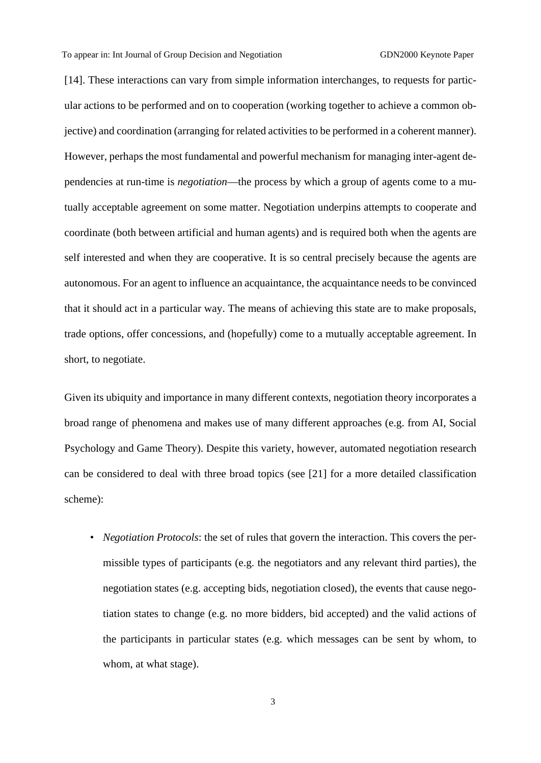[14]. These interactions can vary from simple information interchanges, to requests for particular actions to be performed and on to cooperation (working together to achieve a common objective) and coordination (arranging for related activities to be performed in a coherent manner). However, perhaps the most fundamental and powerful mechanism for managing inter-agent dependencies at run-time is *negotiation*—the process by which a group of agents come to a mutually acceptable agreement on some matter. Negotiation underpins attempts to cooperate and coordinate (both between artificial and human agents) and is required both when the agents are self interested and when they are cooperative. It is so central precisely because the agents are autonomous. For an agent to influence an acquaintance, the acquaintance needs to be convinced that it should act in a particular way. The means of achieving this state are to make proposals, trade options, offer concessions, and (hopefully) come to a mutually acceptable agreement. In short, to negotiate.

Given its ubiquity and importance in many different contexts, negotiation theory incorporates a broad range of phenomena and makes use of many different approaches (e.g. from AI, Social Psychology and Game Theory). Despite this variety, however, automated negotiation research can be considered to deal with three broad topics (see [21] for a more detailed classification scheme):

• *Negotiation Protocols*: the set of rules that govern the interaction. This covers the permissible types of participants (e.g. the negotiators and any relevant third parties), the negotiation states (e.g. accepting bids, negotiation closed), the events that cause negotiation states to change (e.g. no more bidders, bid accepted) and the valid actions of the participants in particular states (e.g. which messages can be sent by whom, to whom, at what stage).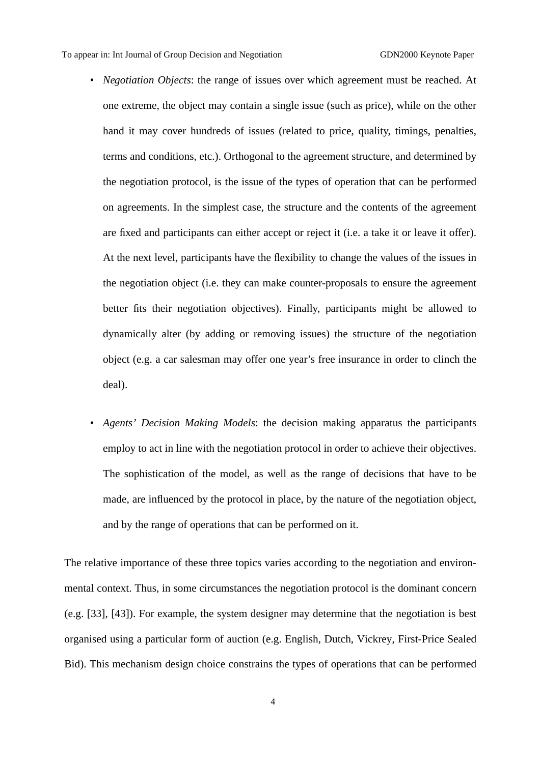- *Negotiation Objects*: the range of issues over which agreement must be reached. At one extreme, the object may contain a single issue (such as price), while on the other hand it may cover hundreds of issues (related to price, quality, timings, penalties, terms and conditions, etc.). Orthogonal to the agreement structure, and determined by the negotiation protocol, is the issue of the types of operation that can be performed on agreements. In the simplest case, the structure and the contents of the agreement are fixed and participants can either accept or reject it (i.e. a take it or leave it offer). At the next level, participants have the flexibility to change the values of the issues in the negotiation object (i.e. they can make counter-proposals to ensure the agreement better fits their negotiation objectives). Finally, participants might be allowed to dynamically alter (by adding or removing issues) the structure of the negotiation object (e.g. a car salesman may offer one year's free insurance in order to clinch the deal).
- *Agents' Decision Making Models*: the decision making apparatus the participants employ to act in line with the negotiation protocol in order to achieve their objectives. The sophistication of the model, as well as the range of decisions that have to be made, are influenced by the protocol in place, by the nature of the negotiation object, and by the range of operations that can be performed on it.

The relative importance of these three topics varies according to the negotiation and environmental context. Thus, in some circumstances the negotiation protocol is the dominant concern (e.g. [33], [43]). For example, the system designer may determine that the negotiation is best organised using a particular form of auction (e.g. English, Dutch, Vickrey, First-Price Sealed Bid). This mechanism design choice constrains the types of operations that can be performed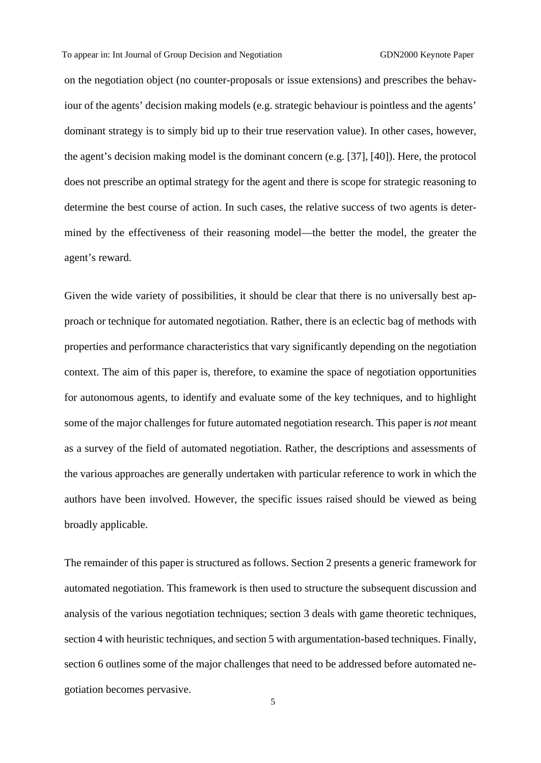on the negotiation object (no counter-proposals or issue extensions) and prescribes the behaviour of the agents' decision making models (e.g. strategic behaviour is pointless and the agents' dominant strategy is to simply bid up to their true reservation value). In other cases, however, the agent's decision making model is the dominant concern (e.g. [37], [40]). Here, the protocol does not prescribe an optimal strategy for the agent and there is scope for strategic reasoning to determine the best course of action. In such cases, the relative success of two agents is determined by the effectiveness of their reasoning model—the better the model, the greater the agent's reward.

Given the wide variety of possibilities, it should be clear that there is no universally best approach or technique for automated negotiation. Rather, there is an eclectic bag of methods with properties and performance characteristics that vary significantly depending on the negotiation context. The aim of this paper is, therefore, to examine the space of negotiation opportunities for autonomous agents, to identify and evaluate some of the key techniques, and to highlight some of the major challenges for future automated negotiation research. This paper is *not* meant as a survey of the field of automated negotiation. Rather, the descriptions and assessments of the various approaches are generally undertaken with particular reference to work in which the authors have been involved. However, the specific issues raised should be viewed as being broadly applicable.

The remainder of this paper is structured as follows. Section 2 presents a generic framework for automated negotiation. This framework is then used to structure the subsequent discussion and analysis of the various negotiation techniques; section 3 deals with game theoretic techniques, section 4 with heuristic techniques, and section 5 with argumentation-based techniques. Finally, section 6 outlines some of the major challenges that need to be addressed before automated negotiation becomes pervasive.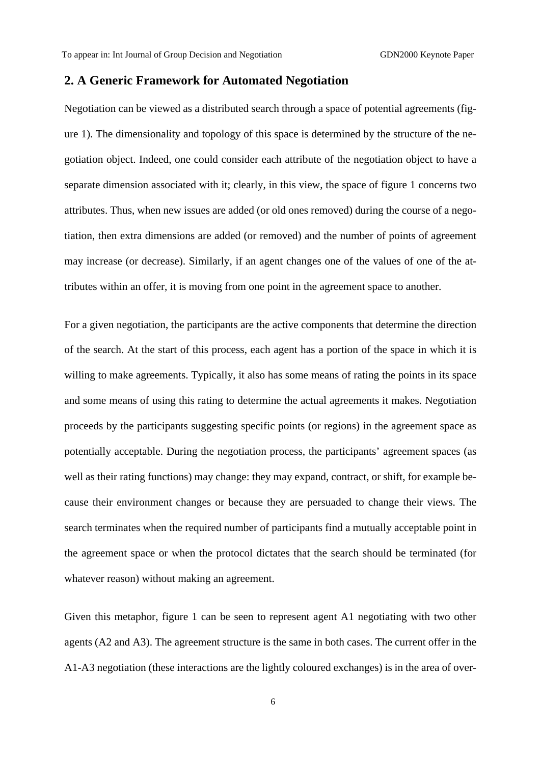#### **2. A Generic Framework for Automated Negotiation**

Negotiation can be viewed as a distributed search through a space of potential agreements (figure 1). The dimensionality and topology of this space is determined by the structure of the negotiation object. Indeed, one could consider each attribute of the negotiation object to have a separate dimension associated with it; clearly, in this view, the space of figure 1 concerns two attributes. Thus, when new issues are added (or old ones removed) during the course of a negotiation, then extra dimensions are added (or removed) and the number of points of agreement may increase (or decrease). Similarly, if an agent changes one of the values of one of the attributes within an offer, it is moving from one point in the agreement space to another.

For a given negotiation, the participants are the active components that determine the direction of the search. At the start of this process, each agent has a portion of the space in which it is willing to make agreements. Typically, it also has some means of rating the points in its space and some means of using this rating to determine the actual agreements it makes. Negotiation proceeds by the participants suggesting specific points (or regions) in the agreement space as potentially acceptable. During the negotiation process, the participants' agreement spaces (as well as their rating functions) may change: they may expand, contract, or shift, for example because their environment changes or because they are persuaded to change their views. The search terminates when the required number of participants find a mutually acceptable point in the agreement space or when the protocol dictates that the search should be terminated (for whatever reason) without making an agreement.

Given this metaphor, figure 1 can be seen to represent agent A1 negotiating with two other agents (A2 and A3). The agreement structure is the same in both cases. The current offer in the A1-A3 negotiation (these interactions are the lightly coloured exchanges) is in the area of over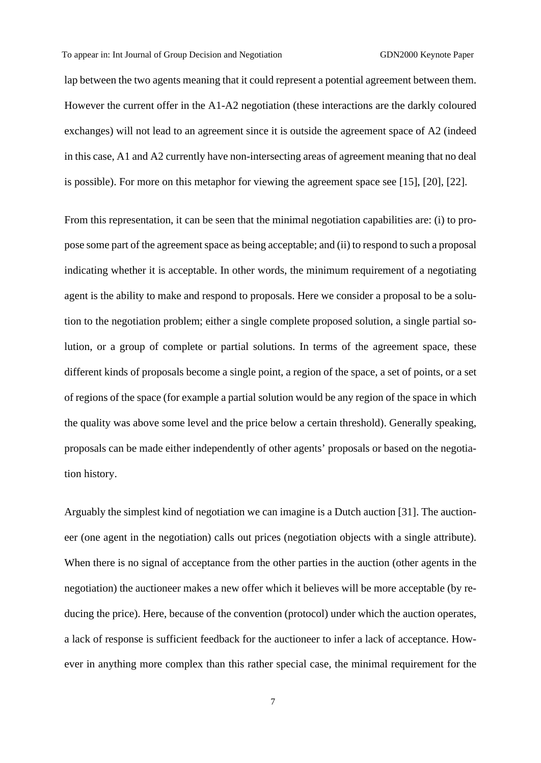lap between the two agents meaning that it could represent a potential agreement between them. However the current offer in the A1-A2 negotiation (these interactions are the darkly coloured exchanges) will not lead to an agreement since it is outside the agreement space of A2 (indeed in this case, A1 and A2 currently have non-intersecting areas of agreement meaning that no deal is possible). For more on this metaphor for viewing the agreement space see [15], [20], [22].

From this representation, it can be seen that the minimal negotiation capabilities are: (i) to propose some part of the agreement space as being acceptable; and (ii) to respond to such a proposal indicating whether it is acceptable. In other words, the minimum requirement of a negotiating agent is the ability to make and respond to proposals. Here we consider a proposal to be a solution to the negotiation problem; either a single complete proposed solution, a single partial solution, or a group of complete or partial solutions. In terms of the agreement space, these different kinds of proposals become a single point, a region of the space, a set of points, or a set of regions of the space (for example a partial solution would be any region of the space in which the quality was above some level and the price below a certain threshold). Generally speaking, proposals can be made either independently of other agents' proposals or based on the negotiation history.

Arguably the simplest kind of negotiation we can imagine is a Dutch auction [31]. The auctioneer (one agent in the negotiation) calls out prices (negotiation objects with a single attribute). When there is no signal of acceptance from the other parties in the auction (other agents in the negotiation) the auctioneer makes a new offer which it believes will be more acceptable (by reducing the price). Here, because of the convention (protocol) under which the auction operates, a lack of response is sufficient feedback for the auctioneer to infer a lack of acceptance. However in anything more complex than this rather special case, the minimal requirement for the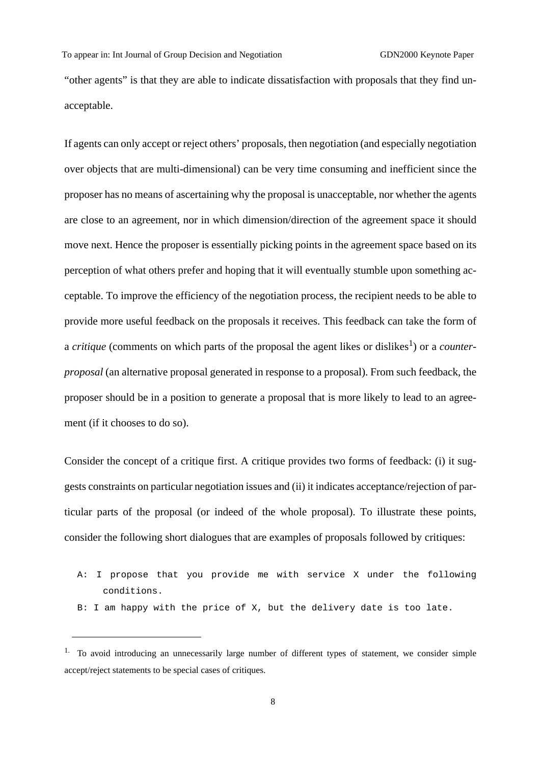"other agents" is that they are able to indicate dissatisfaction with proposals that they find unacceptable.

If agents can only accept or reject others' proposals, then negotiation (and especially negotiation over objects that are multi-dimensional) can be very time consuming and inefficient since the proposer has no means of ascertaining why the proposal is unacceptable, nor whether the agents are close to an agreement, nor in which dimension/direction of the agreement space it should move next. Hence the proposer is essentially picking points in the agreement space based on its perception of what others prefer and hoping that it will eventually stumble upon something acceptable. To improve the efficiency of the negotiation process, the recipient needs to be able to provide more useful feedback on the proposals it receives. This feedback can take the form of a *critique* (comments on which parts of the proposal the agent likes or dislikes<sup>1</sup>) or a *counterproposal* (an alternative proposal generated in response to a proposal). From such feedback, the proposer should be in a position to generate a proposal that is more likely to lead to an agreement (if it chooses to do so).

Consider the concept of a critique first. A critique provides two forms of feedback: (i) it suggests constraints on particular negotiation issues and (ii) it indicates acceptance/rejection of particular parts of the proposal (or indeed of the whole proposal). To illustrate these points, consider the following short dialogues that are examples of proposals followed by critiques:

- A: I propose that you provide me with service X under the following conditions.
- B: I am happy with the price of X, but the delivery date is too late.

<sup>&</sup>lt;sup>1.</sup> To avoid introducing an unnecessarily large number of different types of statement, we consider simple accept/reject statements to be special cases of critiques.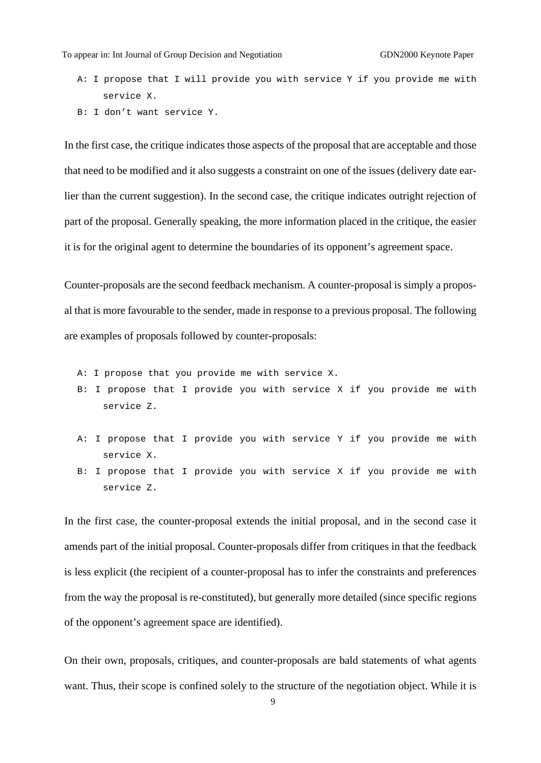- A: I propose that I will provide you with service Y if you provide me with service X.
- B: I don't want service Y.

In the first case, the critique indicates those aspects of the proposal that are acceptable and those that need to be modified and it also suggests a constraint on one of the issues (delivery date earlier than the current suggestion). In the second case, the critique indicates outright rejection of part of the proposal. Generally speaking, the more information placed in the critique, the easier it is for the original agent to determine the boundaries of its opponent's agreement space.

Counter-proposals are the second feedback mechanism. A counter-proposal is simply a proposal that is more favourable to the sender, made in response to a previous proposal. The following are examples of proposals followed by counter-proposals:

- A: I propose that you provide me with service X.
- B: I propose that I provide you with service X if you provide me with service Z.
- A: I propose that I provide you with service Y if you provide me with service X.
- B: I propose that I provide you with service X if you provide me with service Z.

In the first case, the counter-proposal extends the initial proposal, and in the second case it amends part of the initial proposal. Counter-proposals differ from critiques in that the feedback is less explicit (the recipient of a counter-proposal has to infer the constraints and preferences from the way the proposal is re-constituted), but generally more detailed (since specific regions of the opponent's agreement space are identified).

On their own, proposals, critiques, and counter-proposals are bald statements of what agents want. Thus, their scope is confined solely to the structure of the negotiation object. While it is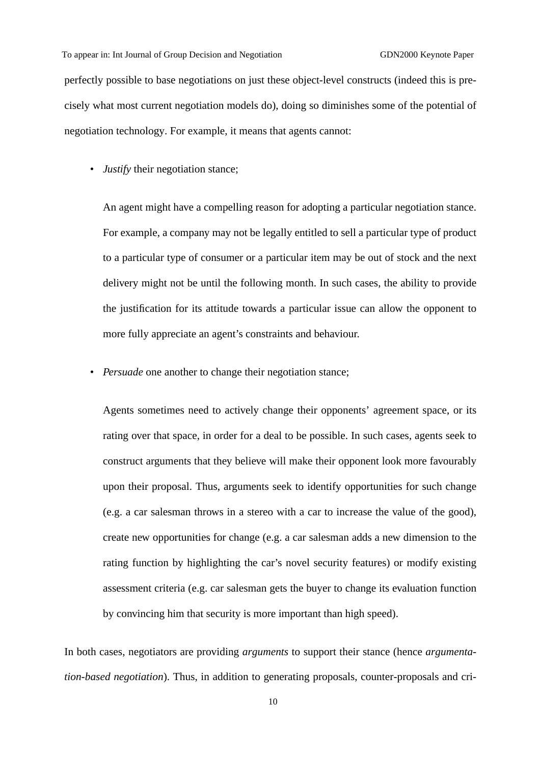perfectly possible to base negotiations on just these object-level constructs (indeed this is precisely what most current negotiation models do), doing so diminishes some of the potential of negotiation technology. For example, it means that agents cannot:

• *Justify* their negotiation stance;

An agent might have a compelling reason for adopting a particular negotiation stance. For example, a company may not be legally entitled to sell a particular type of product to a particular type of consumer or a particular item may be out of stock and the next delivery might not be until the following month. In such cases, the ability to provide the justification for its attitude towards a particular issue can allow the opponent to more fully appreciate an agent's constraints and behaviour.

*Persuade* one another to change their negotiation stance;

Agents sometimes need to actively change their opponents' agreement space, or its rating over that space, in order for a deal to be possible. In such cases, agents seek to construct arguments that they believe will make their opponent look more favourably upon their proposal. Thus, arguments seek to identify opportunities for such change (e.g. a car salesman throws in a stereo with a car to increase the value of the good), create new opportunities for change (e.g. a car salesman adds a new dimension to the rating function by highlighting the car's novel security features) or modify existing assessment criteria (e.g. car salesman gets the buyer to change its evaluation function by convincing him that security is more important than high speed).

In both cases, negotiators are providing *arguments* to support their stance (hence *argumentation-based negotiation*). Thus, in addition to generating proposals, counter-proposals and cri-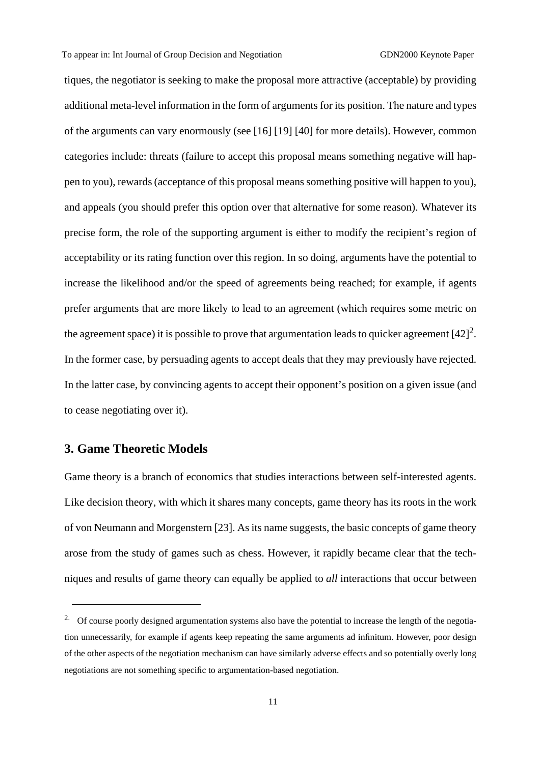tiques, the negotiator is seeking to make the proposal more attractive (acceptable) by providing additional meta-level information in the form of arguments for its position. The nature and types of the arguments can vary enormously (see [16] [19] [40] for more details). However, common categories include: threats (failure to accept this proposal means something negative will happen to you), rewards(acceptance of this proposal meanssomething positive will happen to you), and appeals (you should prefer this option over that alternative for some reason). Whatever its precise form, the role of the supporting argument is either to modify the recipient's region of acceptability or its rating function over this region. In so doing, arguments have the potential to increase the likelihood and/or the speed of agreements being reached; for example, if agents prefer arguments that are more likely to lead to an agreement (which requires some metric on the agreement space) it is possible to prove that argumentation leads to quicker agreement  $[42]^2$ . In the former case, by persuading agents to accept deals that they may previously have rejected. In the latter case, by convincing agents to accept their opponent's position on a given issue (and to cease negotiating over it).

#### **3. Game Theoretic Models**

Game theory is a branch of economics that studies interactions between self-interested agents. Like decision theory, with which it shares many concepts, game theory has its roots in the work of von Neumann and Morgenstern [23]. Asits name suggests, the basic concepts of game theory arose from the study of games such as chess. However, it rapidly became clear that the techniques and results of game theory can equally be applied to *all* interactions that occur between

<sup>&</sup>lt;sup>2.</sup> Of course poorly designed argumentation systems also have the potential to increase the length of the negotiation unnecessarily, for example if agents keep repeating the same arguments ad infinitum. However, poor design of the other aspects of the negotiation mechanism can have similarly adverse effects and so potentially overly long negotiations are not something specific to argumentation-based negotiation.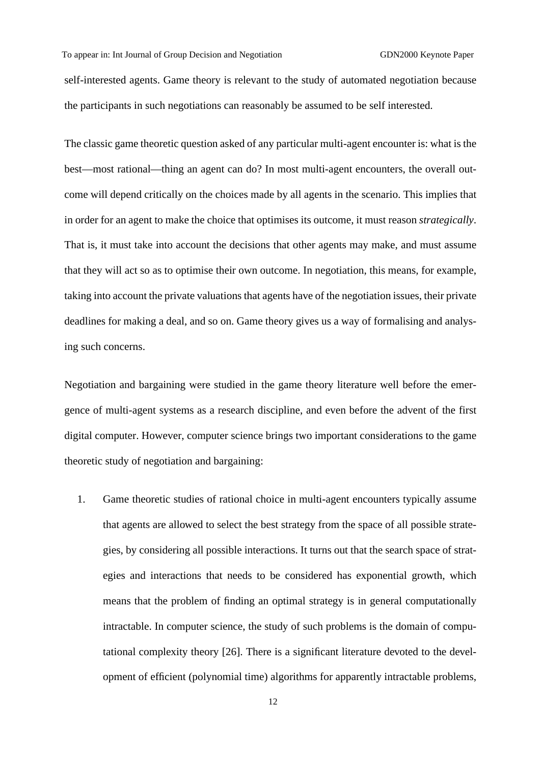self-interested agents. Game theory is relevant to the study of automated negotiation because the participants in such negotiations can reasonably be assumed to be self interested.

The classic game theoretic question asked of any particular multi-agent encounter is: what is the best—most rational—thing an agent can do? In most multi-agent encounters, the overall outcome will depend critically on the choices made by all agents in the scenario. This implies that in order for an agent to make the choice that optimises its outcome, it must reason *strategically*. That is, it must take into account the decisions that other agents may make, and must assume that they will act so as to optimise their own outcome. In negotiation, this means, for example, taking into account the private valuations that agents have of the negotiation issues, their private deadlines for making a deal, and so on. Game theory gives us a way of formalising and analysing such concerns.

Negotiation and bargaining were studied in the game theory literature well before the emergence of multi-agent systems as a research discipline, and even before the advent of the first digital computer. However, computer science brings two important considerations to the game theoretic study of negotiation and bargaining:

1. Game theoretic studies of rational choice in multi-agent encounters typically assume that agents are allowed to select the best strategy from the space of all possible strategies, by considering all possible interactions. It turns out that the search space of strategies and interactions that needs to be considered has exponential growth, which means that the problem of finding an optimal strategy is in general computationally intractable. In computer science, the study of such problems is the domain of computational complexity theory [26]. There is a significant literature devoted to the development of efficient (polynomial time) algorithms for apparently intractable problems,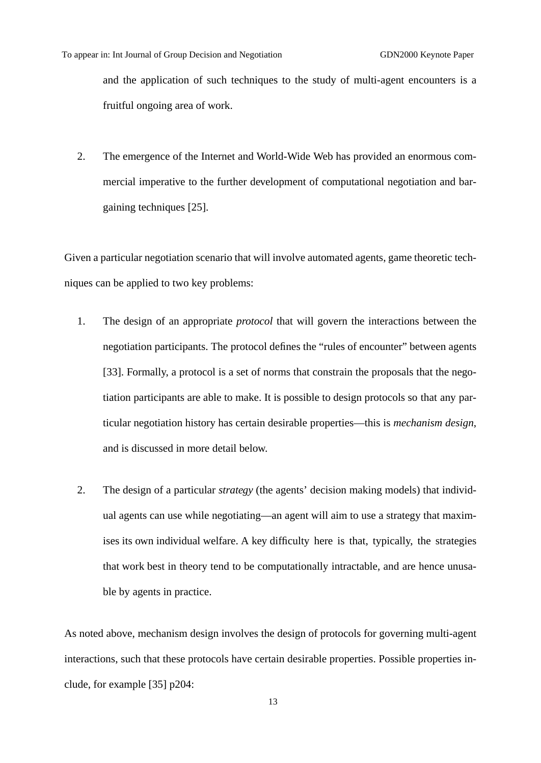and the application of such techniques to the study of multi-agent encounters is a fruitful ongoing area of work.

2. The emergence of the Internet and World-Wide Web has provided an enormous commercial imperative to the further development of computational negotiation and bargaining techniques [25].

Given a particular negotiation scenario that will involve automated agents, game theoretic techniques can be applied to two key problems:

- 1. The design of an appropriate *protocol* that will govern the interactions between the negotiation participants. The protocol defines the "rules of encounter" between agents [33]. Formally, a protocol is a set of norms that constrain the proposals that the negotiation participants are able to make. It is possible to design protocols so that any particular negotiation history has certain desirable properties—this is *mechanism design*, and is discussed in more detail below.
- 2. The design of a particular *strategy* (the agents' decision making models) that individual agents can use while negotiating—an agent will aim to use a strategy that maximises its own individual welfare. A key difficulty here is that, typically, the strategies that work best in theory tend to be computationally intractable, and are hence unusable by agents in practice.

As noted above, mechanism design involves the design of protocols for governing multi-agent interactions, such that these protocols have certain desirable properties. Possible properties include, for example [35] p204: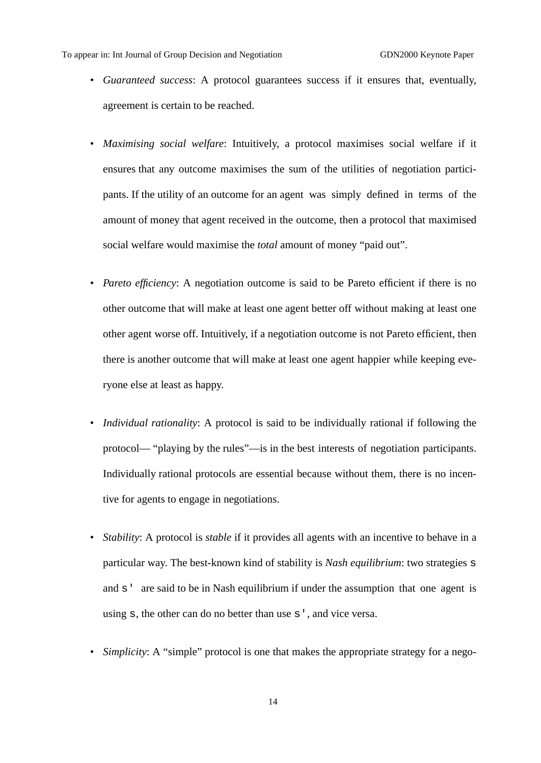- *Guaranteed success*: A protocol guarantees success if it ensures that, eventually, agreement is certain to be reached.
- *Maximising social welfare*: Intuitively, a protocol maximises social welfare if it ensures that any outcome maximises the sum of the utilities of negotiation participants. If the utility of an outcome for an agent was simply defined in terms of the amount of money that agent received in the outcome, then a protocol that maximised social welfare would maximise the *total* amount of money "paid out".
- *Pareto efficiency*: A negotiation outcome is said to be Pareto efficient if there is no other outcome that will make at least one agent better off without making at least one other agent worse off. Intuitively, if a negotiation outcome is not Pareto efficient, then there is another outcome that will make at least one agent happier while keeping everyone else at least as happy.
- *Individual rationality*: A protocol is said to be individually rational if following the protocol— "playing by the rules"—is in the best interests of negotiation participants. Individually rational protocols are essential because without them, there is no incentive for agents to engage in negotiations.
- *Stability*: A protocol is *stable* if it provides all agents with an incentive to behave in a particular way. The best-known kind of stability is *Nash equilibrium*: two strategies s and s' are said to be in Nash equilibrium if under the assumption that one agent is using s, the other can do no better than use s', and vice versa.
- *Simplicity*: A "simple" protocol is one that makes the appropriate strategy for a nego-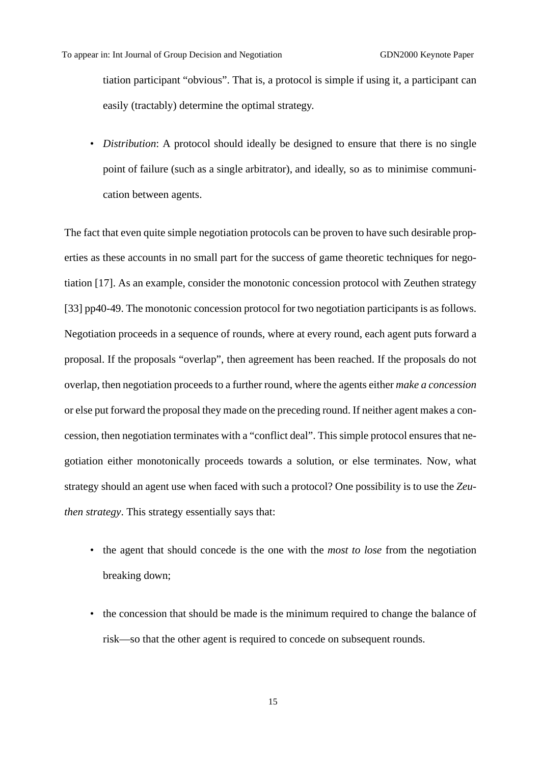tiation participant "obvious". That is, a protocol is simple if using it, a participant can easily (tractably) determine the optimal strategy.

• *Distribution*: A protocol should ideally be designed to ensure that there is no single point of failure (such as a single arbitrator), and ideally, so as to minimise communication between agents.

The fact that even quite simple negotiation protocols can be proven to have such desirable properties as these accounts in no small part for the success of game theoretic techniques for negotiation [17]. As an example, consider the monotonic concession protocol with Zeuthen strategy [33] pp40-49. The monotonic concession protocol for two negotiation participants is as follows. Negotiation proceeds in a sequence of rounds, where at every round, each agent puts forward a proposal. If the proposals "overlap", then agreement has been reached. If the proposals do not overlap, then negotiation proceeds to a further round, where the agents either *make a concession* or else put forward the proposal they made on the preceding round. If neither agent makes a concession, then negotiation terminates with a "conflict deal". This simple protocol ensures that negotiation either monotonically proceeds towards a solution, or else terminates. Now, what strategy should an agent use when faced with such a protocol? One possibility is to use the *Zeuthen strategy*. This strategy essentially says that:

- the agent that should concede is the one with the *most to lose* from the negotiation breaking down;
- the concession that should be made is the minimum required to change the balance of risk—so that the other agent is required to concede on subsequent rounds.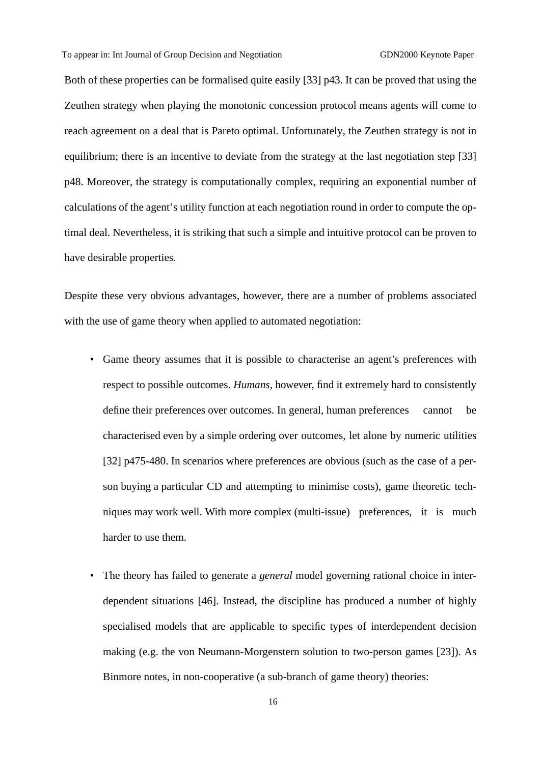Both of these properties can be formalised quite easily [33] p43. It can be proved that using the Zeuthen strategy when playing the monotonic concession protocol means agents will come to reach agreement on a deal that is Pareto optimal. Unfortunately, the Zeuthen strategy is not in equilibrium; there is an incentive to deviate from the strategy at the last negotiation step [33] p48. Moreover, the strategy is computationally complex, requiring an exponential number of calculations of the agent's utility function at each negotiation round in order to compute the optimal deal. Nevertheless, it is striking that such a simple and intuitive protocol can be proven to have desirable properties.

Despite these very obvious advantages, however, there are a number of problems associated with the use of game theory when applied to automated negotiation:

- Game theory assumes that it is possible to characterise an agent's preferences with respect to possible outcomes. *Humans*, however, find it extremely hard to consistently define their preferences over outcomes. In general, human preferences cannot be characterised even by a simple ordering over outcomes, let alone by numeric utilities [32] p475-480. In scenarios where preferences are obvious (such as the case of a person buying a particular CD and attempting to minimise costs), game theoretic techniques may work well. With more complex (multi-issue) preferences, it is much harder to use them.
- The theory has failed to generate a *general* model governing rational choice in interdependent situations [46]. Instead, the discipline has produced a number of highly specialised models that are applicable to specific types of interdependent decision making (e.g. the von Neumann-Morgenstern solution to two-person games [23]). As Binmore notes, in non-cooperative (a sub-branch of game theory) theories: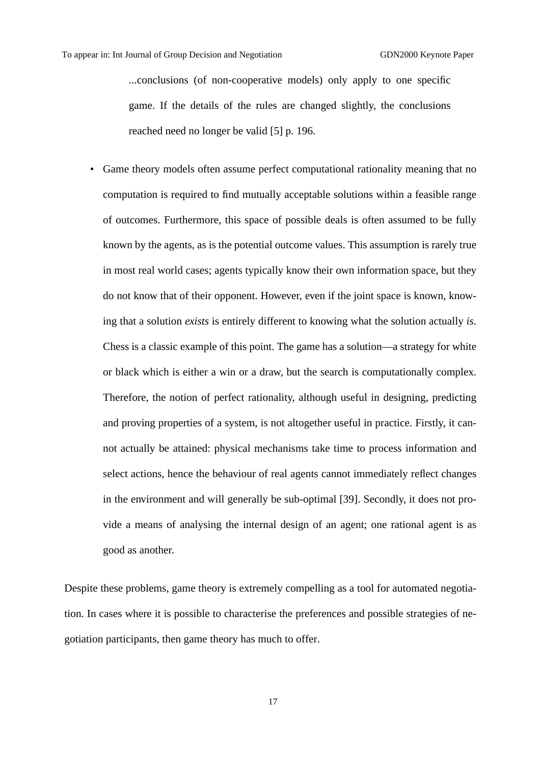...conclusions (of non-cooperative models) only apply to one specific game. If the details of the rules are changed slightly, the conclusions reached need no longer be valid [5] p. 196.

• Game theory models often assume perfect computational rationality meaning that no computation is required to find mutually acceptable solutions within a feasible range of outcomes. Furthermore, this space of possible deals is often assumed to be fully known by the agents, as is the potential outcome values. This assumption is rarely true in most real world cases; agents typically know their own information space, but they do not know that of their opponent. However, even if the joint space is known, knowing that a solution *exists* is entirely different to knowing what the solution actually *is*. Chess is a classic example of this point. The game has a solution—a strategy for white or black which is either a win or a draw, but the search is computationally complex. Therefore, the notion of perfect rationality, although useful in designing, predicting and proving properties of a system, is not altogether useful in practice. Firstly, it cannot actually be attained: physical mechanisms take time to process information and select actions, hence the behaviour of real agents cannot immediately reflect changes in the environment and will generally be sub-optimal [39]. Secondly, it does not provide a means of analysing the internal design of an agent; one rational agent is as good as another.

Despite these problems, game theory is extremely compelling as a tool for automated negotiation. In cases where it is possible to characterise the preferences and possible strategies of negotiation participants, then game theory has much to offer.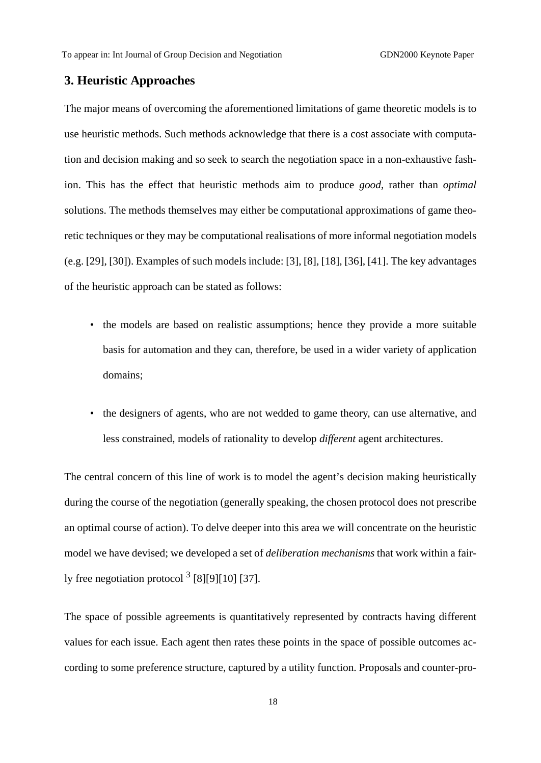#### **3. Heuristic Approaches**

The major means of overcoming the aforementioned limitations of game theoretic models is to use heuristic methods. Such methods acknowledge that there is a cost associate with computation and decision making and so seek to search the negotiation space in a non-exhaustive fashion. This has the effect that heuristic methods aim to produce *good*, rather than *optimal* solutions. The methods themselves may either be computational approximations of game theoretic techniques or they may be computational realisations of more informal negotiation models (e.g. [29], [30]). Examples of such models include: [3], [8], [18], [36], [41]. The key advantages of the heuristic approach can be stated as follows:

- the models are based on realistic assumptions; hence they provide a more suitable basis for automation and they can, therefore, be used in a wider variety of application domains;
- the designers of agents, who are not wedded to game theory, can use alternative, and less constrained, models of rationality to develop *different* agent architectures.

The central concern of this line of work is to model the agent's decision making heuristically during the course of the negotiation (generally speaking, the chosen protocol does not prescribe an optimal course of action). To delve deeper into this area we will concentrate on the heuristic model we have devised; we developed a set of *deliberation mechanisms* that work within a fairly free negotiation protocol  $3$  [8][9][10] [37].

The space of possible agreements is quantitatively represented by contracts having different values for each issue. Each agent then rates these points in the space of possible outcomes according to some preference structure, captured by a utility function. Proposals and counter-pro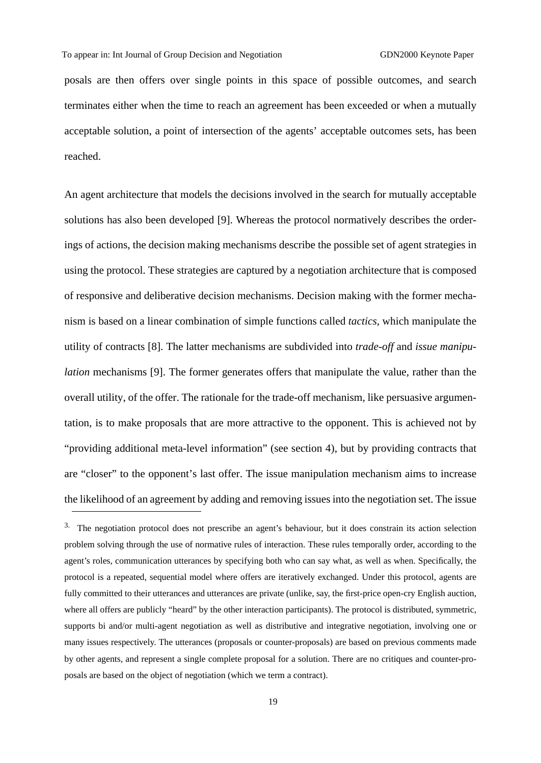posals are then offers over single points in this space of possible outcomes, and search terminates either when the time to reach an agreement has been exceeded or when a mutually acceptable solution, a point of intersection of the agents' acceptable outcomes sets, has been reached.

An agent architecture that models the decisions involved in the search for mutually acceptable solutions has also been developed [9]. Whereas the protocol normatively describes the orderings of actions, the decision making mechanisms describe the possible set of agent strategies in using the protocol. These strategies are captured by a negotiation architecture that is composed of responsive and deliberative decision mechanisms. Decision making with the former mechanism is based on a linear combination of simple functions called *tactics*, which manipulate the utility of contracts [8]. The latter mechanisms are subdivided into *trade-off* and *issue manipulation* mechanisms [9]. The former generates offers that manipulate the value, rather than the overall utility, of the offer. The rationale for the trade-off mechanism, like persuasive argumentation, is to make proposals that are more attractive to the opponent. This is achieved not by "providing additional meta-level information" (see section 4), but by providing contracts that are "closer" to the opponent's last offer. The issue manipulation mechanism aims to increase the likelihood of an agreement by adding and removing issues into the negotiation set. The issue

<sup>&</sup>lt;sup>3.</sup> The negotiation protocol does not prescribe an agent's behaviour, but it does constrain its action selection problem solving through the use of normative rules of interaction. These rules temporally order, according to the agent's roles, communication utterances by specifying both who can say what, as well as when. Specifically, the protocol is a repeated, sequential model where offers are iteratively exchanged. Under this protocol, agents are fully committed to their utterances and utterances are private (unlike, say, the first-price open-cry English auction, where all offers are publicly "heard" by the other interaction participants). The protocol is distributed, symmetric, supports bi and/or multi-agent negotiation as well as distributive and integrative negotiation, involving one or many issues respectively. The utterances (proposals or counter-proposals) are based on previous comments made by other agents, and represent a single complete proposal for a solution. There are no critiques and counter-proposals are based on the object of negotiation (which we term a contract).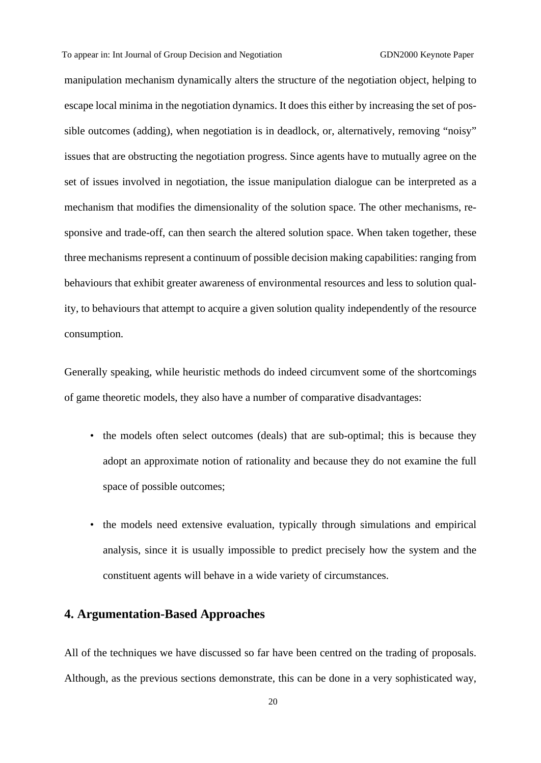manipulation mechanism dynamically alters the structure of the negotiation object, helping to escape local minima in the negotiation dynamics. It does this either by increasing the set of possible outcomes (adding), when negotiation is in deadlock, or, alternatively, removing "noisy" issues that are obstructing the negotiation progress. Since agents have to mutually agree on the set of issues involved in negotiation, the issue manipulation dialogue can be interpreted as a mechanism that modifies the dimensionality of the solution space. The other mechanisms, responsive and trade-off, can then search the altered solution space. When taken together, these three mechanisms represent a continuum of possible decision making capabilities: ranging from behaviours that exhibit greater awareness of environmental resources and less to solution quality, to behaviours that attempt to acquire a given solution quality independently of the resource consumption.

Generally speaking, while heuristic methods do indeed circumvent some of the shortcomings of game theoretic models, they also have a number of comparative disadvantages:

- the models often select outcomes (deals) that are sub-optimal; this is because they adopt an approximate notion of rationality and because they do not examine the full space of possible outcomes;
- the models need extensive evaluation, typically through simulations and empirical analysis, since it is usually impossible to predict precisely how the system and the constituent agents will behave in a wide variety of circumstances.

## **4. Argumentation-Based Approaches**

All of the techniques we have discussed so far have been centred on the trading of proposals. Although, as the previous sections demonstrate, this can be done in a very sophisticated way,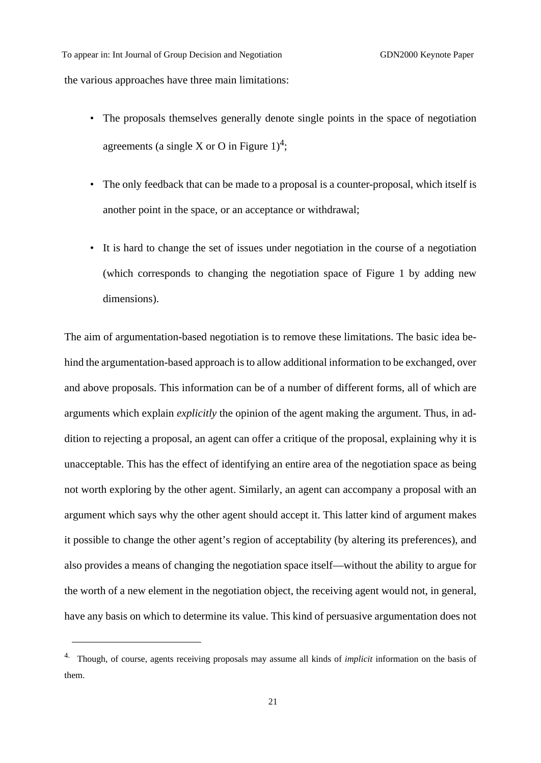- The proposals themselves generally denote single points in the space of negotiation agreements (a single X or O in Figure  $1)^4$ ;
- The only feedback that can be made to a proposal is a counter-proposal, which itself is another point in the space, or an acceptance or withdrawal;
- It is hard to change the set of issues under negotiation in the course of a negotiation (which corresponds to changing the negotiation space of Figure 1 by adding new dimensions).

The aim of argumentation-based negotiation is to remove these limitations. The basic idea behind the argumentation-based approach is to allow additional information to be exchanged, over and above proposals. This information can be of a number of different forms, all of which are arguments which explain *explicitly* the opinion of the agent making the argument. Thus, in addition to rejecting a proposal, an agent can offer a critique of the proposal, explaining why it is unacceptable. This has the effect of identifying an entire area of the negotiation space as being not worth exploring by the other agent. Similarly, an agent can accompany a proposal with an argument which says why the other agent should accept it. This latter kind of argument makes it possible to change the other agent's region of acceptability (by altering its preferences), and also provides a means of changing the negotiation space itself—without the ability to argue for the worth of a new element in the negotiation object, the receiving agent would not, in general, have any basis on which to determine its value. This kind of persuasive argumentation does not

<sup>4.</sup> Though, of course, agents receiving proposals may assume all kinds of *implicit* information on the basis of them.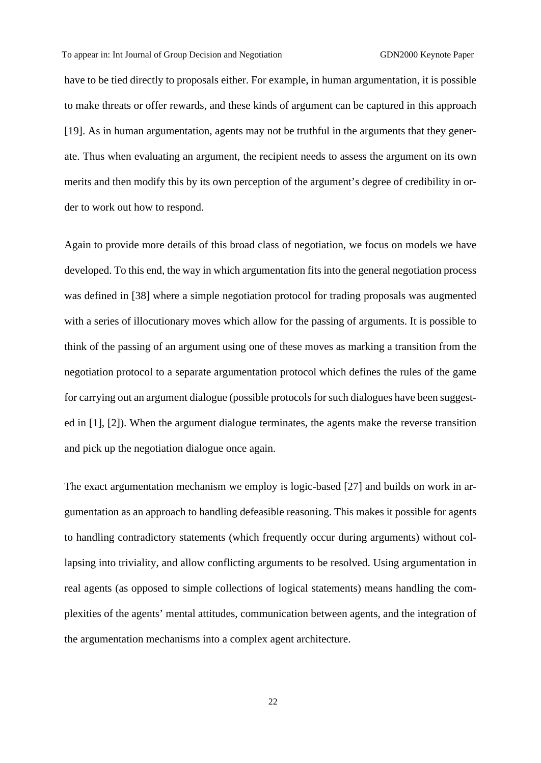have to be tied directly to proposals either. For example, in human argumentation, it is possible to make threats or offer rewards, and these kinds of argument can be captured in this approach [19]. As in human argumentation, agents may not be truthful in the arguments that they generate. Thus when evaluating an argument, the recipient needs to assess the argument on its own merits and then modify this by its own perception of the argument's degree of credibility in order to work out how to respond.

Again to provide more details of this broad class of negotiation, we focus on models we have developed. To this end, the way in which argumentation fits into the general negotiation process was defined in [38] where a simple negotiation protocol for trading proposals was augmented with a series of illocutionary moves which allow for the passing of arguments. It is possible to think of the passing of an argument using one of these moves as marking a transition from the negotiation protocol to a separate argumentation protocol which defines the rules of the game for carrying out an argument dialogue (possible protocols for such dialogues have been suggested in [1], [2]). When the argument dialogue terminates, the agents make the reverse transition and pick up the negotiation dialogue once again.

The exact argumentation mechanism we employ is logic-based [27] and builds on work in argumentation as an approach to handling defeasible reasoning. This makes it possible for agents to handling contradictory statements (which frequently occur during arguments) without collapsing into triviality, and allow conflicting arguments to be resolved. Using argumentation in real agents (as opposed to simple collections of logical statements) means handling the complexities of the agents' mental attitudes, communication between agents, and the integration of the argumentation mechanisms into a complex agent architecture.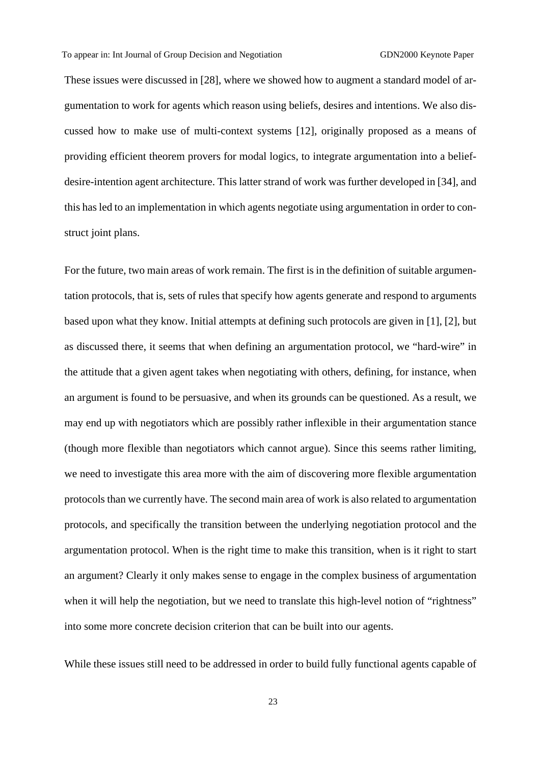These issues were discussed in [28], where we showed how to augment a standard model of argumentation to work for agents which reason using beliefs, desires and intentions. We also discussed how to make use of multi-context systems [12], originally proposed as a means of providing efficient theorem provers for modal logics, to integrate argumentation into a beliefdesire-intention agent architecture. This latter strand of work was further developed in [34], and this has led to an implementation in which agents negotiate using argumentation in order to construct joint plans.

For the future, two main areas of work remain. The first is in the definition of suitable argumentation protocols, that is, sets of rules that specify how agents generate and respond to arguments based upon what they know. Initial attempts at defining such protocols are given in [1], [2], but as discussed there, it seems that when defining an argumentation protocol, we "hard-wire" in the attitude that a given agent takes when negotiating with others, defining, for instance, when an argument is found to be persuasive, and when its grounds can be questioned. As a result, we may end up with negotiators which are possibly rather inflexible in their argumentation stance (though more flexible than negotiators which cannot argue). Since this seems rather limiting, we need to investigate this area more with the aim of discovering more flexible argumentation protocols than we currently have. The second main area of work is also related to argumentation protocols, and specifically the transition between the underlying negotiation protocol and the argumentation protocol. When is the right time to make this transition, when is it right to start an argument? Clearly it only makes sense to engage in the complex business of argumentation when it will help the negotiation, but we need to translate this high-level notion of "rightness" into some more concrete decision criterion that can be built into our agents.

While these issues still need to be addressed in order to build fully functional agents capable of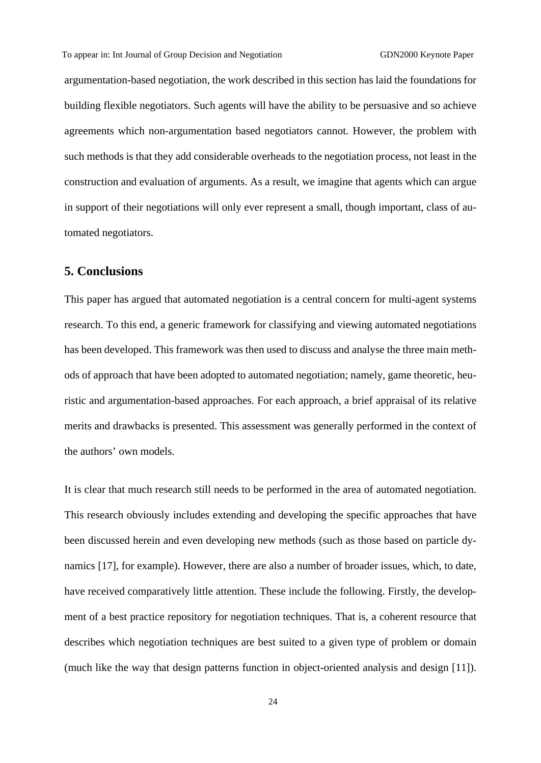argumentation-based negotiation, the work described in this section has laid the foundations for building flexible negotiators. Such agents will have the ability to be persuasive and so achieve agreements which non-argumentation based negotiators cannot. However, the problem with such methods is that they add considerable overheads to the negotiation process, not least in the construction and evaluation of arguments. As a result, we imagine that agents which can argue in support of their negotiations will only ever represent a small, though important, class of automated negotiators.

#### **5. Conclusions**

This paper has argued that automated negotiation is a central concern for multi-agent systems research. To this end, a generic framework for classifying and viewing automated negotiations has been developed. This framework was then used to discuss and analyse the three main methods of approach that have been adopted to automated negotiation; namely, game theoretic, heuristic and argumentation-based approaches. For each approach, a brief appraisal of its relative merits and drawbacks is presented. This assessment was generally performed in the context of the authors' own models.

It is clear that much research still needs to be performed in the area of automated negotiation. This research obviously includes extending and developing the specific approaches that have been discussed herein and even developing new methods (such as those based on particle dynamics [17], for example). However, there are also a number of broader issues, which, to date, have received comparatively little attention. These include the following. Firstly, the development of a best practice repository for negotiation techniques. That is, a coherent resource that describes which negotiation techniques are best suited to a given type of problem or domain (much like the way that design patterns function in object-oriented analysis and design [11]).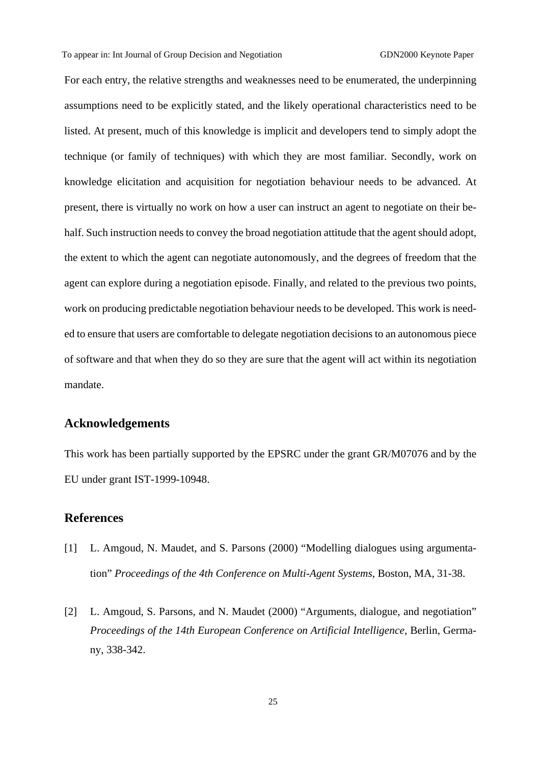For each entry, the relative strengths and weaknesses need to be enumerated, the underpinning assumptions need to be explicitly stated, and the likely operational characteristics need to be listed. At present, much of this knowledge is implicit and developers tend to simply adopt the technique (or family of techniques) with which they are most familiar. Secondly, work on knowledge elicitation and acquisition for negotiation behaviour needs to be advanced. At present, there is virtually no work on how a user can instruct an agent to negotiate on their behalf. Such instruction needs to convey the broad negotiation attitude that the agent should adopt, the extent to which the agent can negotiate autonomously, and the degrees of freedom that the agent can explore during a negotiation episode. Finally, and related to the previous two points, work on producing predictable negotiation behaviour needs to be developed. This work is needed to ensure that users are comfortable to delegate negotiation decisions to an autonomous piece of software and that when they do so they are sure that the agent will act within its negotiation mandate.

### **Acknowledgements**

This work has been partially supported by the EPSRC under the grant GR/M07076 and by the EU under grant IST-1999-10948.

#### **References**

- [1] L. Amgoud, N. Maudet, and S. Parsons (2000) "Modelling dialogues using argumentation" *Proceedings of the 4th Conference on Multi-Agent Systems*, Boston, MA, 31-38.
- [2] L. Amgoud, S. Parsons, and N. Maudet (2000) "Arguments, dialogue, and negotiation" *Proceedings of the 14th European Conference on Artificial Intelligence*, Berlin, Germany, 338-342.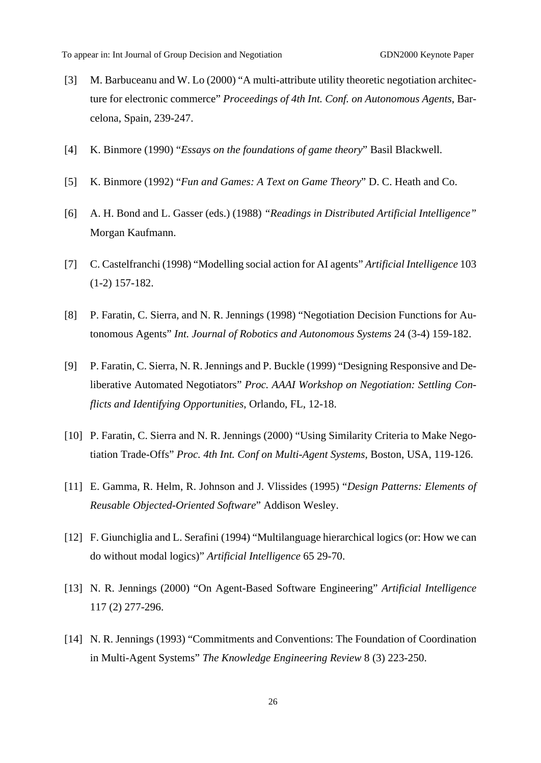- [3] M. Barbuceanu and W. Lo (2000) "A multi-attribute utility theoretic negotiation architecture for electronic commerce" *Proceedings of 4th Int. Conf. on Autonomous Agents*, Barcelona, Spain, 239-247.
- [4] K. Binmore (1990) "*Essays on the foundations of game theory*" Basil Blackwell.
- [5] K. Binmore (1992) "*Fun and Games: A Text on Game Theory*" D. C. Heath and Co.
- [6] A. H. Bond and L. Gasser (eds.) (1988) *"Readings in Distributed Artificial Intelligence"* Morgan Kaufmann.
- [7] C. Castelfranchi (1998) "Modelling social action for AI agents" *Artificial Intelligence* 103 (1-2) 157-182.
- [8] P. Faratin, C. Sierra, and N. R. Jennings (1998) "Negotiation Decision Functions for Autonomous Agents" *Int. Journal of Robotics and Autonomous Systems* 24 (3-4) 159-182.
- [9] P. Faratin, C. Sierra, N. R. Jennings and P. Buckle (1999) "Designing Responsive and Deliberative Automated Negotiators" *Proc. AAAI Workshop on Negotiation: Settling Conflicts and Identifying Opportunities*, Orlando, FL, 12-18.
- [10] P. Faratin, C. Sierra and N. R. Jennings (2000) "Using Similarity Criteria to Make Negotiation Trade-Offs" *Proc. 4th Int. Conf on Multi-Agent Systems*, Boston, USA, 119-126.
- [11] E. Gamma, R. Helm, R. Johnson and J. Vlissides (1995) "*Design Patterns: Elements of Reusable Objected-Oriented Software*" Addison Wesley.
- [12] F. Giunchiglia and L. Serafini (1994) "Multilanguage hierarchical logics (or: How we can do without modal logics)" *Artificial Intelligence* 65 29-70.
- [13] N. R. Jennings (2000) "On Agent-Based Software Engineering" *Artificial Intelligence* 117 (2) 277-296.
- [14] N. R. Jennings (1993) "Commitments and Conventions: The Foundation of Coordination in Multi-Agent Systems" *The Knowledge Engineering Review* 8 (3) 223-250.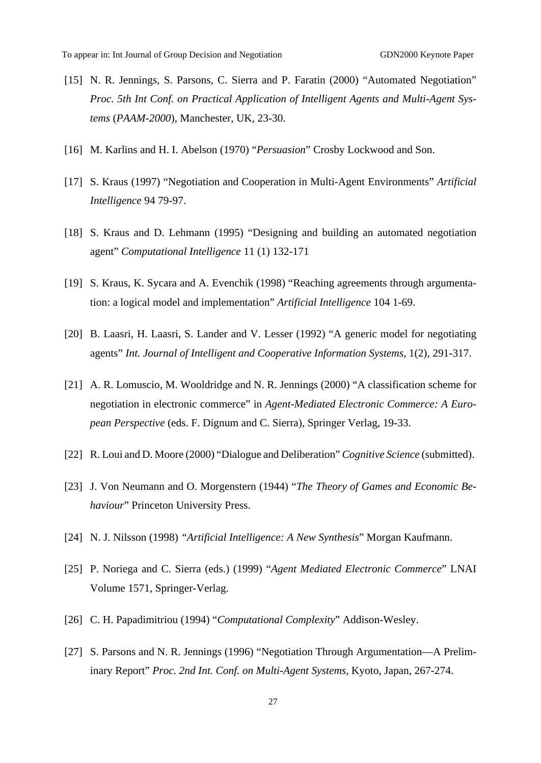- [15] N. R. Jennings, S. Parsons, C. Sierra and P. Faratin (2000) "Automated Negotiation" *Proc. 5th Int Conf. on Practical Application of Intelligent Agents and Multi-Agent Systems* (*PAAM-2000*), Manchester, UK*,* 23-30.
- [16] M. Karlins and H. I. Abelson (1970) "*Persuasion*" Crosby Lockwood and Son.
- [17] S. Kraus (1997) "Negotiation and Cooperation in Multi-Agent Environments" *Artificial Intelligence* 94 79-97.
- [18] S. Kraus and D. Lehmann (1995) "Designing and building an automated negotiation agent" *Computational Intelligence* 11 (1) 132-171
- [19] S. Kraus, K. Sycara and A. Evenchik (1998) "Reaching agreements through argumentation: a logical model and implementation" *Artificial Intelligence* 104 1-69.
- [20] B. Laasri, H. Laasri, S. Lander and V. Lesser (1992) "A generic model for negotiating agents" *Int. Journal of Intelligent and Cooperative Information Systems*, 1(2), 291-317.
- [21] A. R. Lomuscio, M. Wooldridge and N. R. Jennings (2000) "A classification scheme for negotiation in electronic commerce" in *Agent-Mediated Electronic Commerce: A European Perspective* (eds. F. Dignum and C. Sierra), Springer Verlag, 19-33.
- [22] R. Loui and D. Moore (2000) "Dialogue and Deliberation" *Cognitive Science* (submitted).
- [23] J. Von Neumann and O. Morgenstern (1944) "*The Theory of Games and Economic Behaviour*" Princeton University Press.
- [24] N. J. Nilsson (1998) *"Artificial Intelligence: A New Synthesis*" Morgan Kaufmann.
- [25] P. Noriega and C. Sierra (eds.) (1999) "*Agent Mediated Electronic Commerce*" LNAI Volume 1571, Springer-Verlag.
- [26] C. H. Papadimitriou (1994) "*Computational Complexity*" Addison-Wesley.
- [27] S. Parsons and N. R. Jennings (1996) "Negotiation Through Argumentation—A Preliminary Report" *Proc. 2nd Int. Conf. on Multi-Agent Systems*, Kyoto, Japan, 267-274.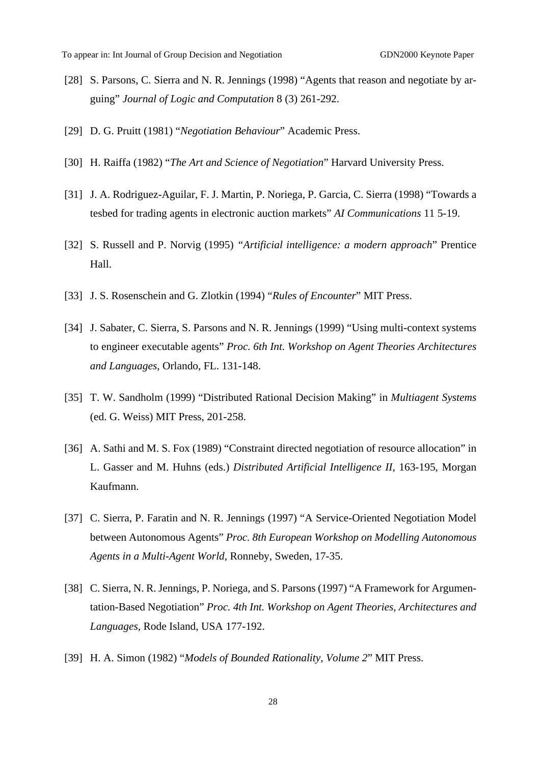- [28] S. Parsons, C. Sierra and N. R. Jennings (1998) "Agents that reason and negotiate by arguing" *Journal of Logic and Computation* 8 (3) 261-292.
- [29] D. G. Pruitt (1981) "*Negotiation Behaviour*" Academic Press.
- [30] H. Raiffa (1982) "*The Art and Science of Negotiation*" Harvard University Press.
- [31] J. A. Rodriguez-Aguilar, F. J. Martin, P. Noriega, P. Garcia, C. Sierra (1998) "Towards a tesbed for trading agents in electronic auction markets" *AI Communications* 11 5-19.
- [32] S. Russell and P. Norvig (1995) *"Artificial intelligence: a modern approach*" Prentice Hall.
- [33] J. S. Rosenschein and G. Zlotkin (1994) "*Rules of Encounter*" MIT Press.
- [34] J. Sabater, C. Sierra, S. Parsons and N. R. Jennings (1999) "Using multi-context systems to engineer executable agents" *Proc. 6th Int. Workshop on Agent Theories Architectures and Languages*, Orlando, FL. 131-148.
- [35] T. W. Sandholm (1999) "Distributed Rational Decision Making" in *Multiagent Systems* (ed. G. Weiss) MIT Press, 201-258.
- [36] A. Sathi and M. S. Fox (1989) "Constraint directed negotiation of resource allocation" in L. Gasser and M. Huhns (eds.) *Distributed Artificial Intelligence II*, 163-195, Morgan Kaufmann.
- [37] C. Sierra, P. Faratin and N. R. Jennings (1997) "A Service-Oriented Negotiation Model between Autonomous Agents" *Proc. 8th European Workshop on Modelling Autonomous Agents in a Multi-Agent World*, Ronneby, Sweden, 17-35.
- [38] C. Sierra, N. R. Jennings, P. Noriega, and S. Parsons (1997) "A Framework for Argumentation-Based Negotiation" *Proc. 4th Int. Workshop on Agent Theories, Architectures and Languages,* Rode Island, USA 177-192.
- [39] H. A. Simon (1982) "*Models of Bounded Rationality, Volume 2*" MIT Press.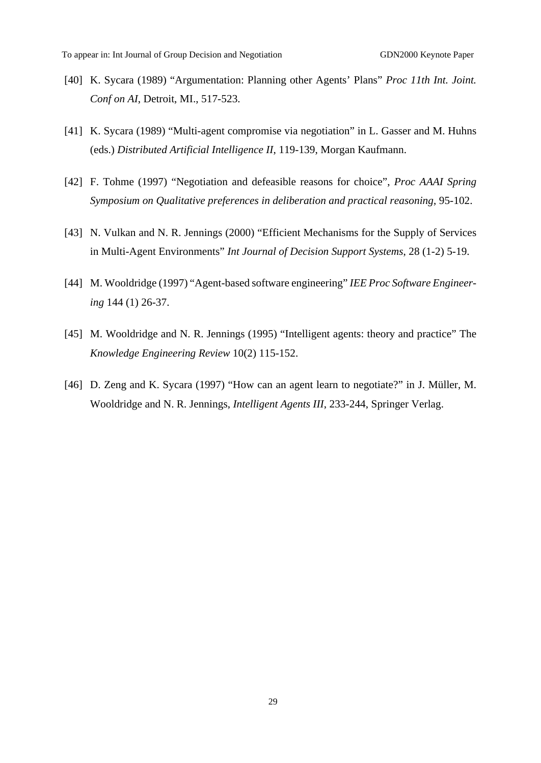- [40] K. Sycara (1989) "Argumentation: Planning other Agents' Plans" *Proc 11th Int. Joint. Conf on AI*, Detroit, MI., 517-523.
- [41] K. Sycara (1989) "Multi-agent compromise via negotiation" in L. Gasser and M. Huhns (eds.) *Distributed Artificial Intelligence II*, 119-139, Morgan Kaufmann.
- [42] F. Tohme (1997) "Negotiation and defeasible reasons for choice", *Proc AAAI Spring Symposium on Qualitative preferences in deliberation and practical reasoning*, 95-102.
- [43] N. Vulkan and N. R. Jennings (2000) "Efficient Mechanisms for the Supply of Services in Multi-Agent Environments" *Int Journal of Decision Support Systems*, 28 (1-2) 5-19.
- [44] M. Wooldridge (1997) "Agent-based software engineering" *IEE Proc Software Engineering* 144 (1) 26-37.
- [45] M. Wooldridge and N. R. Jennings (1995) "Intelligent agents: theory and practice" The *Knowledge Engineering Review* 10(2) 115-152.
- [46] D. Zeng and K. Sycara (1997) "How can an agent learn to negotiate?" in J. Müller, M. Wooldridge and N. R. Jennings, *Intelligent Agents III*, 233-244, Springer Verlag.